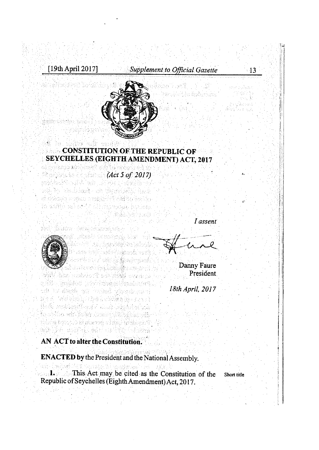staliku in brîber dinbi

# [19th April 2017] Supplement to Official Gazette 13



# **CONSTITUTION OF THE REPUBLIC OF SAMPLE CONSTITUTION OF THE REPUBLIC OF SAMPLE** SEYCHELLES (EIGHTH AMENDMENT) ACT, 2017

as britanco mobilestri crist (Act 5 of 2017) and the set of  $\mathcal{A}$  of  $\mathcal{A}$ ori la kadakat an Arasakit hak el stokaya kuamu undari 1998 (Britania) io asiito ka nelle oli shababad ianlere *Conditional Property* 

신은 건물에 달리다 de di di Marezo del Salo de Arcola del co



Vedi situato islamenda kiul a / banktók kojak rin i sekiri i bağlamda verdi la seria ya hasili ya kata ya ku lad inik oo ng babilinan ini SAN BARTASAN AT ANG MANGANG ofile kabba jezinkanimana (\*) vit tu dinah ya velad vlomborn n Stan This Ship is the South in Bird of the th éi mótharán sair is an Shistrian is obtiva ada koko *horia ekibedea e*reda rbbing benyo/o gi rabenon a'i gan fersiasan t

I assent



Danny Faure President 18th April, 2017

### AN ACT to alter the Constitution.

an in antal al colet Globa

**ENACTED by the President and the National Assembly.** avato, Al Verskrival - ki

1. This Act may be cited as the Constitution of the Short title Republic ofSeychelles (EighthAmendment)Act, 2017.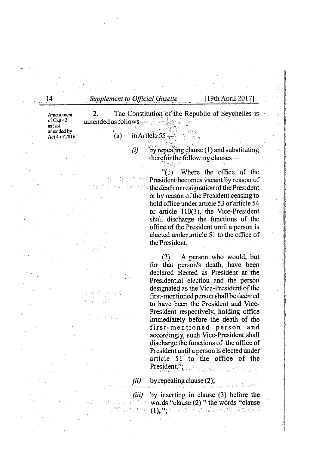14 Supplement to Official Gazette [19th April 2017]

Amendment 2. The Constitution of the Republic of Seychelles is of Cap 42 amended as follows  $\frac{1}{2}$ amended as follows —

amended by

as last

 $\det_4$  of 2016 (a) in Article 55—

除

 $(i)$  by repealing clause (1) and substituting therefor the following clauses —

> "(1) Where the office of the President becomes vacant by reason of the death or resignation of the President or by reason of the President ceasing to hold office under article 53 or article 54 or article 110(3), the Vice-President shall discharge the functions of the office of the President until <sup>a</sup> person is elected under article 51 to the office of the President.

> (2) A person who would, but for that person's death, have been declared elected as President at the Presidential election and the person designated as the Vice-President of the first-mentioned person shall be deemed to have been the President and Vice-President respectively, holding office immediately before the death of the first-mentioned person and accordingly, such Vice-President shall discharge the functions of the office of President until <sup>a</sup> person is elected under article 51 to the office of the President."; ebedrata er 172 Z.a

 $(ii)$  by repealing clause (2);

(指定) ほころき (iii) by inserting in clause (3) before the words to **words "clause (2) " the words "clause**<br>North make away (1), **Ty** was a consistent with making and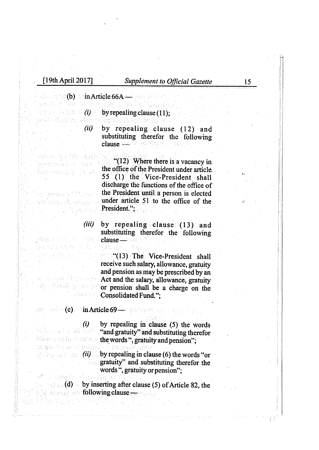ebito e consider oguacio gerneacha bas ในนางสองออกจู่ (2 เข้อ

n Bhowaitteach นสภาพจังหนใจ กลางแม่กาย

n tunner e Fehr

L'ingentiere

where  $\mathbb{C}$  (b) in Article 66A — and in the

lamén ki odt lého nebugan a syélkai khassa

(1) by repealing clause (11);<br>Enlinearistic later the magnetic send is admitted

(ii) by repealing clause  $(12)$  and substituting therefor the following clause — 9404智论: ES

> "(12) Where there is a vacancy in the office of the President under article. 55 (1) the Vice-President shall discharge the fimctions of the office of the President until a person is elected under article 51 to the office of the President.";

(iii) by repealing clause (13) and substituting therefor the following desa dia jajinaran. clause—

**The Vice-President shall** receive such salary, allowance, gratuity and pension as may be prescribed by an **Act and the salary, allowance, gratuity** or pension shall be a charge on the **Consolidated Fund.":** 

### $\mathbb{C}$  is a set  $\mathbb{C}$  in  $\mathrm{Article}\,69$  — and  $\mathbb{C}$  is a set  $\mathbb{C}$

고 말고 화도는

 $(i)$  by repealing in clause (5) the words **The model of the "and gratuity" and substituting therefor** the words ", gratuity and pension";

 $(i)$  by repealing in clause (6) the words "or **gratuity**" and substituting therefor the words ", gratuity or pension":

 $(d)$  by inserting after clause (5) of Article 82, the following clause **following** clause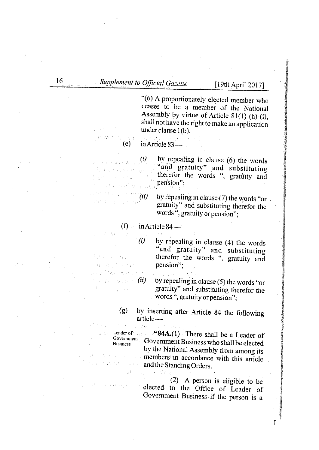"(6) <sup>A</sup> proportionately elected member who ceases to be a member of the National<br>Assembly by virtue of Article 81(1) (h) (i), shall not have the right to make an application under clause 1(b).

(e) inArticle83—

 $(i)$  by repealing in clause (6) the words "and gratuity" and substituting therefor the words ", gratuity and pension";

 $(ii)$  by repealing in clause (7) the words "or gratuity" and substituting therefor the words ", gratuity or pension";

 $(f)$  in Article 84—

.<br>2004: Martin Holder beds in easterning ทานนิย์ที่จากเหยี่ ผลเลย

在中国高速车

制限 しょうねい Sandth Perchant na ziliyeshe shekara

 $(i)$  by repealing in clause (4) the words "and gratuity" and substituting therefor the words ", gratuity and pension";

Constitution  $\hat{u}$  by repealing in clause (5) the words "or gratuity" and substituting therefor the gratuity" and substituting therefor the words ", gratuity or pension";

> (g) by inserting after Article <sup>84</sup> the following article—

Leader of  $\sim$  "84A.(1) There shall be a Leader of Government Deciment Deciment in  $\sim$  1.111 Government Government Business who shall be elected by the National Assembly from among its members in accordance with this article earnight a skill and the Standing Orders.

(中国人) 受教会

(2) <sup>A</sup> person is eligible to be elected to the Office of Leader of Government Business if the person is <sup>a</sup>

**Biom**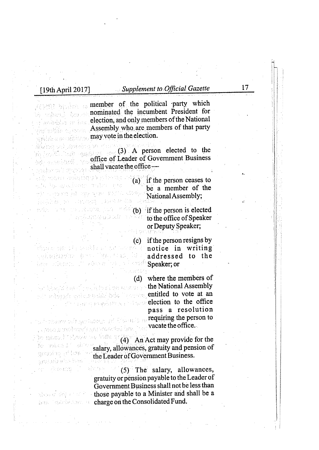goji matana nepizgarta je je izvorita u zi ystel hyd apautonnam amflori i prin et casser à exemple tell di Yaqatilisi, walloo kaydi oo xareeye dan

kay siyaan si kéts*a <sup>1</sup>rd* s<sup>a 2</sup>

## [19th April 2017] Supplement to Official Gazette 17

member of the political party which nominated the incumbent President for election, and only members of the National Assembly who are members of that party writing a may vote in the election.

iwansh on) zawebna w (3) <sup>A</sup> person elected to the office of Leader of Government Business  $shall$  vacate the office  $\overline{\phantom{a}}$ 

> (a) if the person ceases to be <sup>a</sup> member of the NationalAssembly;

(b) if the person is elected to the office of Speaker or Deputy Speaker;

(c) ifthe person resigns by Syn ar eilbho far brachfor an gathann ann an notice in writing lakajasho ber Teplera, Del addressed to the **Speaker**; or

(d) where the members of the National Assembly entitled to vote at an election to the office pass <sup>a</sup> resolution requiring the person to  $r$  and above the  $\beta$  is requiring the person to vacate the office. 

 $(4)$  An Act may provide for the salary, allowances, gratuity and pension of the Leader of Government Business.

er Amens J absen (5) The salary, allowances, gratuity or pension payable to the Leader of Government Business shall not be less than those payable to a Minister and shall be a hard charge on the Consolidated Fund.

gwysho ynteri ganabahs har

I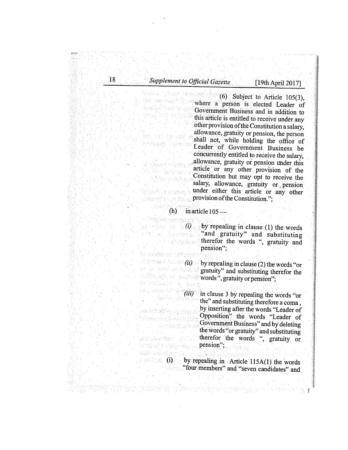18 Supplement to Official Gazette [19th April 2017]

tài Pelivon (<sub>1944</sub> isatiwi Cadrio syje yng hai bundi

神, 파트놀바란 รังกล่งคุณที่ที่ โดยเลขาวุด

d alemni nakima m vic for falgman s Nitiana Aing

TOORTH AT ANYARD OF B

i tripkin sanggungi b

**ISONAL PROPERTY** 

*<i><u>ALCO</u>* 

**INSURGERS** 

denial  $\sim$  (6) Subject to Article 105(3), where <sup>a</sup> person is elected Leader of Government Business and in addition to this article is entitled to receive under any other provision of the Constitution a salary, allowance, gratuity or pension, the person shall not, while holding the office of Leader of Government Business be concurrently entitled to receive the salary, allowance, gratuity or pension under this article or any other provision of the Constitution but may opt to receive the salary, allowance, gratuity or pension under either this article or any other *provision of the Constitution.*":

 $(h)$  in article  $105-$ 

gothermical  $\mathcal{O}_{\phi}$  by repealing in clause (1) the words  $\mathbb{P}^{\{1\}}$  of the angle  $\mathbb{P}^{\{2\}}$  and  $\mathbb{P}^{\{3\}}$  and  $\mathbb{P}^{\{3\}}$  substituting therefor the words ", gratuity and pension"

lo z*wól*men odłotyc

(20%) 化苯唑烷醚医二丁二烷

 $\langle i \rangle$  is a set  $\langle ii \rangle$  by repealing in clause (2) the words "or gratuity" and substituting therefor the words", gratuity or pension"; ns i minano a sua

 $(iii)$  in clause 3 by repealing the words "or the" and substituting therefore a coma, by inserting after the words "Leader of sah bok tijikveng vigen n Opposition" the words "Leader of to makaisoj (ma v Reidin Government Business" and by deleting th phoge fishing the words "or gratuity" and substituting therefor the words ", gratuity or pension"; io miks I will broken . eilian

medi ukal od m. Kechci sobitkani maljona (i) by repealing in Article 115A(1) the words <sup>I</sup> "four members" and "seven candidates" and

น เพื่อน เพราะ เป็นเป็น เพราะ เพราะ เพราะ เพราะ เพราะ เพราะ เพราะ เพราะ เพราะ เพราะ เพราะ เพราะ เพราะ เพราะ เพ<br>เพราะ เพราะ เพราะ เพราะ เพราะ เพราะ เพราะ เพราะ เพราะ เพราะ เพราะ เพราะ เพราะ เพราะ เพราะ เพราะ เพราะ เพราะ เพ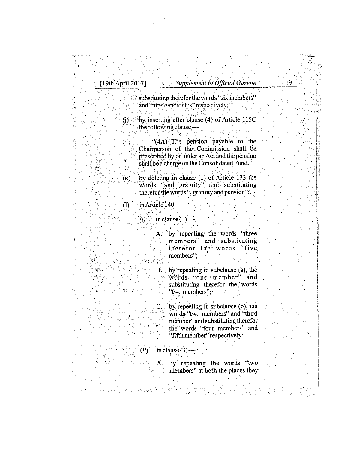substituting therefor the words "six members" and "nine candidates" respectively;

 $(i)$  by inserting after clause (4) of Article 115C the following clause

> "(4A) The pension payable to the Chairperson of the Commission shall be prescribed by or under an Act and the pension shall be a charge on the Consolidated Fund.";

 $(k)$  by deleting in clause (1) of Article 133 the words "and gratuity" and substituting therefor the words ", gratuity and pension";

## $(1)$  in Article 140 —

- (i) in clause  $(1)$ 
	- A. by repealing the words "three members" and substituting therefor the words "five members",
- $B.$  by repealing in subclause (a), the words "one member" and words "one member" and atanan masarang kalendar<br>Sebagai di Sebagai di Sebagai di Sebagai<br>Sebagai di Sebagai di Sebagai di Sebagai di Sebagai di Sebagai di Sebagai di Sebagai di Sebagai di Sebagai di substituting therefor the words "two members";
- $C.$  by repealing in subclause (b), the words "two members" and "third tida (televisibili) tereveler member" and substituting therefor ninisko kontrolleri (sv. 1944) the words "four members" and the signification when "fifth member" respectively;
- $(i)$  in clause (3)—<br>has a set of the clause (3)—

in Kathi

an an ann an 1

kan er en eksplorer i ernemp pomigynt (po

A. by repealing the words "two **members**" at both the places they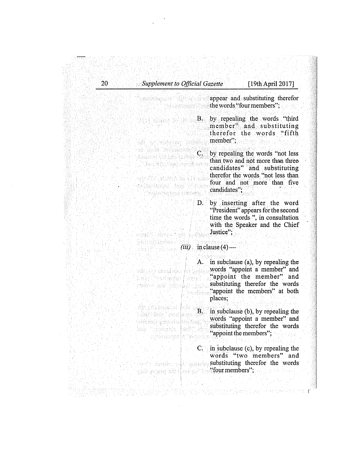| 20 | <b>Supplement to Official Gazette</b><br>[19th April 2017]<br>appear and substituting therefor |                                                                                                                                                                                             |  |
|----|------------------------------------------------------------------------------------------------|---------------------------------------------------------------------------------------------------------------------------------------------------------------------------------------------|--|
|    |                                                                                                | the words "four members";                                                                                                                                                                   |  |
|    |                                                                                                | $B_{\rm{max}}$<br>by repealing the words "third"<br>member" and substituting<br>therefor the words "fifth<br>member":                                                                       |  |
|    |                                                                                                | C. by repealing the words "not less<br>than two and not more than three<br>candidates" and substituting<br>therefor the words "not less than<br>four and not more than five<br>candidates", |  |
|    |                                                                                                | D. by inserting after the word<br>"President" appears for the second<br>time the words.", in consultation<br>with the Speaker and the Chief<br>Justice":                                    |  |
|    |                                                                                                | $(iii)$ in clause $(4)$ —                                                                                                                                                                   |  |
|    |                                                                                                | in subclause (a), by repealing the<br>A.<br>words "appoint a member" and<br>"appoint the member" and<br>substituting therefor the words<br>"appoint the members" at both<br>places;         |  |
|    |                                                                                                | in subclause (b), by repealing the<br>Β.<br>words "appoint a member" and<br>substituting therefor the words<br>"appoint the members";                                                       |  |
|    |                                                                                                | in subclause (c), by repeating the<br>C.<br>words "two members"<br>and<br>substituting therefor the words<br>$\text{``four members''}$ :                                                    |  |

 $\frac{1}{2}$ 

 $\bar{\mathbf{z}}$ 

 $\ddot{\phantom{a}}$